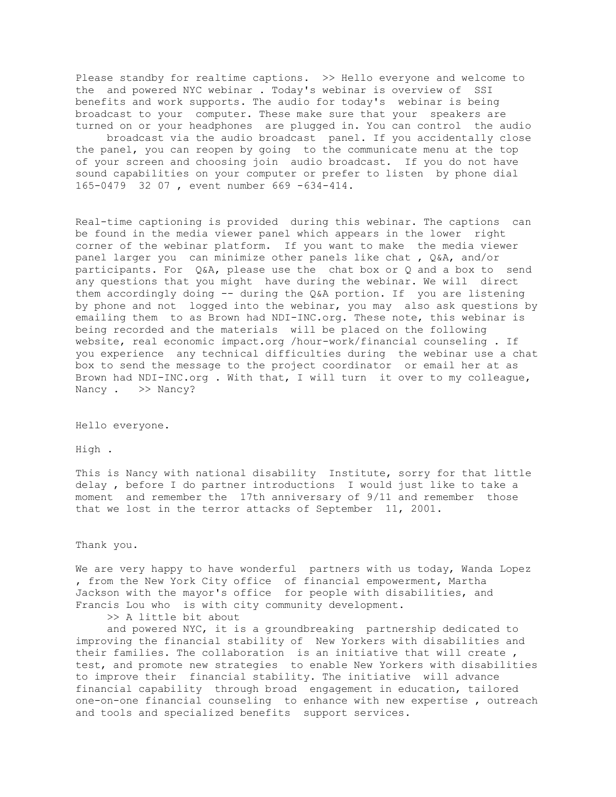Please standby for realtime captions. >> Hello everyone and welcome to the and powered NYC webinar . Today's webinar is overview of SSI benefits and work supports. The audio for today's webinar is being broadcast to your computer. These make sure that your speakers are turned on or your headphones are plugged in. You can control the audio broadcast via the audio broadcast panel. If you accidentally close the panel, you can reopen by going to the communicate menu at the top of your screen and choosing join audio broadcast. If you do not have sound capabilities on your computer or prefer to listen by phone dial 165-0479 32 07 , event number 669 -634-414.

Real-time captioning is provided during this webinar. The captions can be found in the media viewer panel which appears in the lower right corner of the webinar platform. If you want to make the media viewer panel larger you can minimize other panels like chat , Q&A, and/or participants. For Q&A, please use the chat box or Q and a box to send any questions that you might have during the webinar. We will direct them accordingly doing -- during the Q&A portion. If you are listening by phone and not logged into the webinar, you may also ask questions by emailing them to as Brown had NDI-INC.org. These note, this webinar is being recorded and the materials will be placed on the following website, real economic impact.org /hour-work/financial counseling . If you experience any technical difficulties during the webinar use a chat box to send the message to the project coordinator or email her at as Brown had NDI-INC.org . With that, I will turn it over to my colleague, Nancy . >> Nancy?

Hello everyone.

High .

This is Nancy with national disability Institute, sorry for that little delay , before I do partner introductions I would just like to take a moment and remember the 17th anniversary of 9/11 and remember those that we lost in the terror attacks of September 11, 2001.

Thank you.

We are very happy to have wonderful partners with us today, Wanda Lopez , from the New York City office of financial empowerment, Martha Jackson with the mayor's office for people with disabilities, and Francis Lou who is with city community development.

>> A little bit about

 and powered NYC, it is a groundbreaking partnership dedicated to improving the financial stability of New Yorkers with disabilities and their families. The collaboration is an initiative that will create , test, and promote new strategies to enable New Yorkers with disabilities to improve their financial stability. The initiative will advance financial capability through broad engagement in education, tailored one-on-one financial counseling to enhance with new expertise , outreach and tools and specialized benefits support services.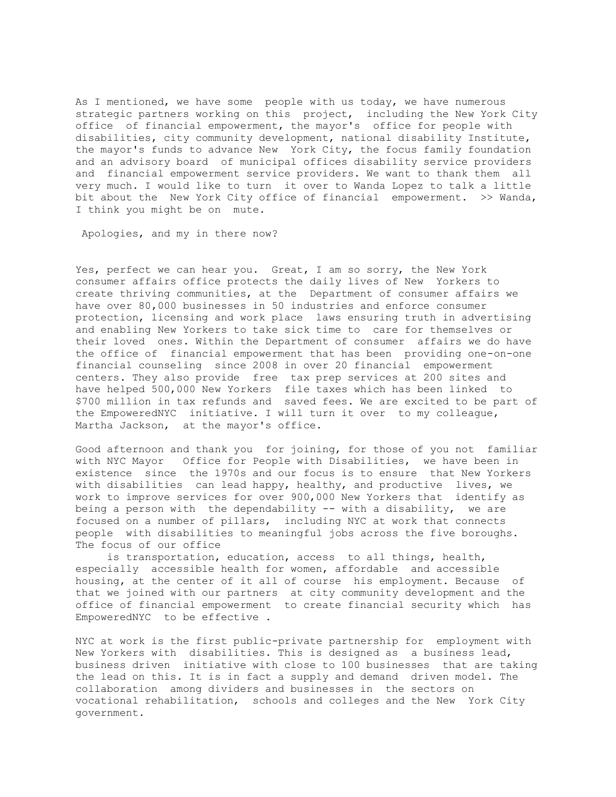As I mentioned, we have some people with us today, we have numerous strategic partners working on this project, including the New York City office of financial empowerment, the mayor's office for people with disabilities, city community development, national disability Institute, the mayor's funds to advance New York City, the focus family foundation and an advisory board of municipal offices disability service providers and financial empowerment service providers. We want to thank them all very much. I would like to turn it over to Wanda Lopez to talk a little bit about the New York City office of financial empowerment. >> Wanda, I think you might be on mute.

Apologies, and my in there now?

Yes, perfect we can hear you. Great, I am so sorry, the New York consumer affairs office protects the daily lives of New Yorkers to create thriving communities, at the Department of consumer affairs we have over 80,000 businesses in 50 industries and enforce consumer protection, licensing and work place laws ensuring truth in advertising and enabling New Yorkers to take sick time to care for themselves or their loved ones. Within the Department of consumer affairs we do have the office of financial empowerment that has been providing one-on-one financial counseling since 2008 in over 20 financial empowerment centers. They also provide free tax prep services at 200 sites and have helped 500,000 New Yorkers file taxes which has been linked to \$700 million in tax refunds and saved fees. We are excited to be part of the EmpoweredNYC initiative. I will turn it over to my colleague, Martha Jackson, at the mayor's office.

Good afternoon and thank you for joining, for those of you not familiar with NYC Mayor Office for People with Disabilities, we have been in existence since the 1970s and our focus is to ensure that New Yorkers with disabilities can lead happy, healthy, and productive lives, we work to improve services for over 900,000 New Yorkers that identify as being a person with the dependability -- with a disability, we are focused on a number of pillars, including NYC at work that connects people with disabilities to meaningful jobs across the five boroughs. The focus of our office

 is transportation, education, access to all things, health, especially accessible health for women, affordable and accessible housing, at the center of it all of course his employment. Because of that we joined with our partners at city community development and the office of financial empowerment to create financial security which has EmpoweredNYC to be effective .

NYC at work is the first public-private partnership for employment with New Yorkers with disabilities. This is designed as a business lead, business driven initiative with close to 100 businesses that are taking the lead on this. It is in fact a supply and demand driven model. The collaboration among dividers and businesses in the sectors on vocational rehabilitation, schools and colleges and the New York City government.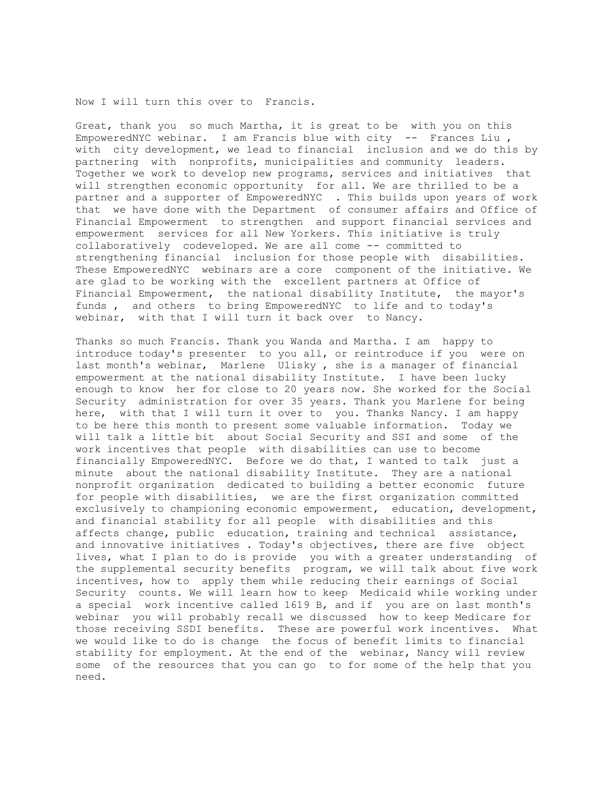Now I will turn this over to Francis.

Great, thank you so much Martha, it is great to be with you on this EmpoweredNYC webinar. I am Francis blue with city -- Frances Liu , with city development, we lead to financial inclusion and we do this by partnering with nonprofits, municipalities and community leaders. Together we work to develop new programs, services and initiatives that will strengthen economic opportunity for all. We are thrilled to be a partner and a supporter of EmpoweredNYC . This builds upon years of work that we have done with the Department of consumer affairs and Office of Financial Empowerment to strengthen and support financial services and empowerment services for all New Yorkers. This initiative is truly collaboratively codeveloped. We are all come -- committed to strengthening financial inclusion for those people with disabilities. These EmpoweredNYC webinars are a core component of the initiative. We are glad to be working with the excellent partners at Office of Financial Empowerment, the national disability Institute, the mayor's funds , and others to bring EmpoweredNYC to life and to today's webinar, with that I will turn it back over to Nancy.

Thanks so much Francis. Thank you Wanda and Martha. I am happy to introduce today's presenter to you all, or reintroduce if you were on last month's webinar, Marlene Ulisky , she is a manager of financial empowerment at the national disability Institute. I have been lucky enough to know her for close to 20 years now. She worked for the Social Security administration for over 35 years. Thank you Marlene for being here, with that I will turn it over to you. Thanks Nancy. I am happy to be here this month to present some valuable information. Today we will talk a little bit about Social Security and SSI and some of the work incentives that people with disabilities can use to become financially EmpoweredNYC. Before we do that, I wanted to talk just a minute about the national disability Institute. They are a national nonprofit organization dedicated to building a better economic future for people with disabilities, we are the first organization committed exclusively to championing economic empowerment, education, development, and financial stability for all people with disabilities and this affects change, public education, training and technical assistance, and innovative initiatives . Today's objectives, there are five object lives, what I plan to do is provide you with a greater understanding of the supplemental security benefits program, we will talk about five work incentives, how to apply them while reducing their earnings of Social Security counts. We will learn how to keep Medicaid while working under a special work incentive called 1619 B, and if you are on last month's webinar you will probably recall we discussed how to keep Medicare for those receiving SSDI benefits. These are powerful work incentives. What we would like to do is change the focus of benefit limits to financial stability for employment. At the end of the webinar, Nancy will review some of the resources that you can go to for some of the help that you need.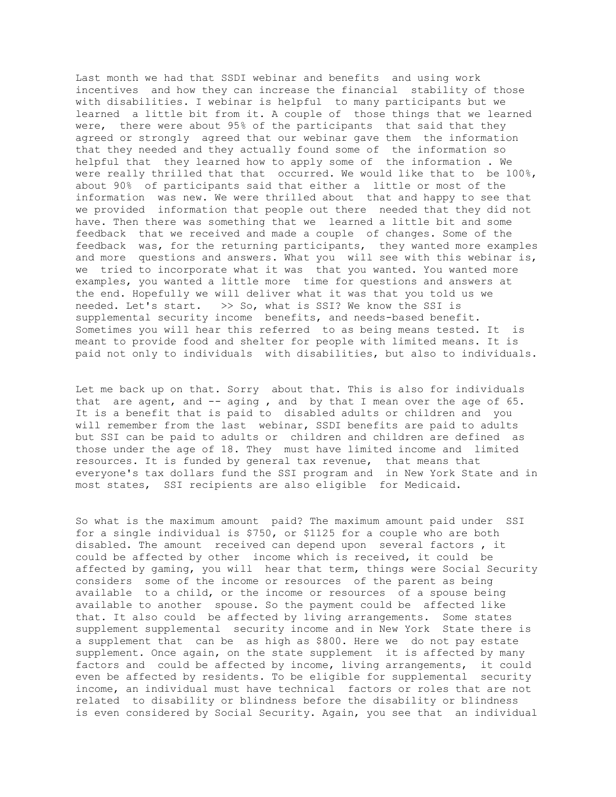Last month we had that SSDI webinar and benefits and using work incentives and how they can increase the financial stability of those with disabilities. I webinar is helpful to many participants but we learned a little bit from it. A couple of those things that we learned were, there were about 95% of the participants that said that they agreed or strongly agreed that our webinar gave them the information that they needed and they actually found some of the information so helpful that they learned how to apply some of the information . We were really thrilled that that occurred. We would like that to be 100%, about 90% of participants said that either a little or most of the information was new. We were thrilled about that and happy to see that we provided information that people out there needed that they did not have. Then there was something that we learned a little bit and some feedback that we received and made a couple of changes. Some of the feedback was, for the returning participants, they wanted more examples and more questions and answers. What you will see with this webinar is, we tried to incorporate what it was that you wanted. You wanted more examples, you wanted a little more time for questions and answers at the end. Hopefully we will deliver what it was that you told us we needed. Let's start. >> So, what is SSI? We know the SSI is supplemental security income benefits, and needs-based benefit. Sometimes you will hear this referred to as being means tested. It is meant to provide food and shelter for people with limited means. It is paid not only to individuals with disabilities, but also to individuals.

Let me back up on that. Sorry about that. This is also for individuals that are agent, and  $-$ - aging, and by that I mean over the age of  $65$ . It is a benefit that is paid to disabled adults or children and you will remember from the last webinar, SSDI benefits are paid to adults but SSI can be paid to adults or children and children are defined as those under the age of 18. They must have limited income and limited resources. It is funded by general tax revenue, that means that everyone's tax dollars fund the SSI program and in New York State and in most states, SSI recipients are also eligible for Medicaid.

So what is the maximum amount paid? The maximum amount paid under SSI for a single individual is \$750, or \$1125 for a couple who are both disabled. The amount received can depend upon several factors , it could be affected by other income which is received, it could be affected by gaming, you will hear that term, things were Social Security considers some of the income or resources of the parent as being available to a child, or the income or resources of a spouse being available to another spouse. So the payment could be affected like that. It also could be affected by living arrangements. Some states supplement supplemental security income and in New York State there is a supplement that can be as high as \$800. Here we do not pay estate supplement. Once again, on the state supplement it is affected by many factors and could be affected by income, living arrangements, it could even be affected by residents. To be eligible for supplemental security income, an individual must have technical factors or roles that are not related to disability or blindness before the disability or blindness is even considered by Social Security. Again, you see that an individual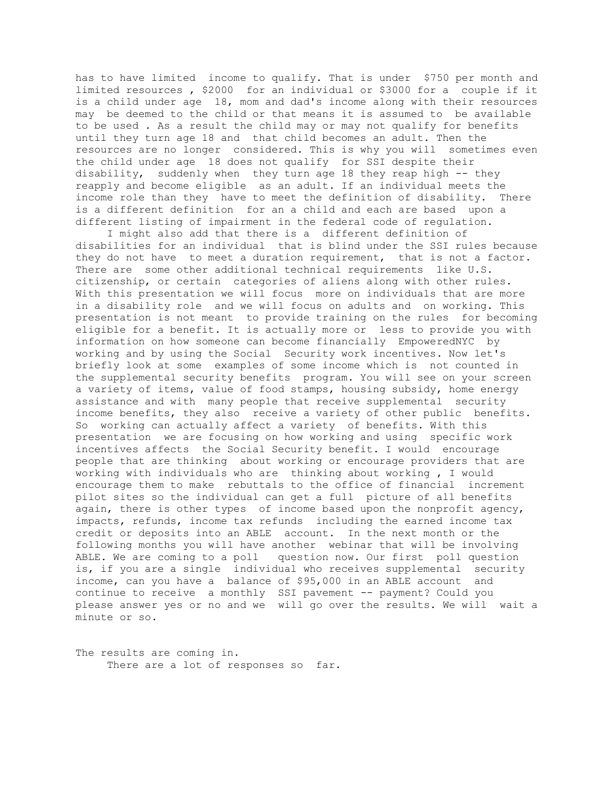has to have limited income to qualify. That is under \$750 per month and limited resources , \$2000 for an individual or \$3000 for a couple if it is a child under age 18, mom and dad's income along with their resources may be deemed to the child or that means it is assumed to be available to be used . As a result the child may or may not qualify for benefits until they turn age 18 and that child becomes an adult. Then the resources are no longer considered. This is why you will sometimes even the child under age 18 does not qualify for SSI despite their disability, suddenly when they turn age 18 they reap high -- they reapply and become eligible as an adult. If an individual meets the income role than they have to meet the definition of disability. There is a different definition for an a child and each are based upon a different listing of impairment in the federal code of regulation.

 I might also add that there is a different definition of disabilities for an individual that is blind under the SSI rules because they do not have to meet a duration requirement, that is not a factor. There are some other additional technical requirements like U.S. citizenship, or certain categories of aliens along with other rules. With this presentation we will focus more on individuals that are more in a disability role and we will focus on adults and on working. This presentation is not meant to provide training on the rules for becoming eligible for a benefit. It is actually more or less to provide you with information on how someone can become financially EmpoweredNYC by working and by using the Social Security work incentives. Now let's briefly look at some examples of some income which is not counted in the supplemental security benefits program. You will see on your screen a variety of items, value of food stamps, housing subsidy, home energy assistance and with many people that receive supplemental security income benefits, they also receive a variety of other public benefits. So working can actually affect a variety of benefits. With this presentation we are focusing on how working and using specific work incentives affects the Social Security benefit. I would encourage people that are thinking about working or encourage providers that are working with individuals who are thinking about working , I would encourage them to make rebuttals to the office of financial increment pilot sites so the individual can get a full picture of all benefits again, there is other types of income based upon the nonprofit agency, impacts, refunds, income tax refunds including the earned income tax credit or deposits into an ABLE account. In the next month or the following months you will have another webinar that will be involving ABLE. We are coming to a poll question now. Our first poll question is, if you are a single individual who receives supplemental security income, can you have a balance of \$95,000 in an ABLE account and continue to receive a monthly SSI pavement -- payment? Could you please answer yes or no and we will go over the results. We will wait a minute or so.

The results are coming in. There are a lot of responses so far.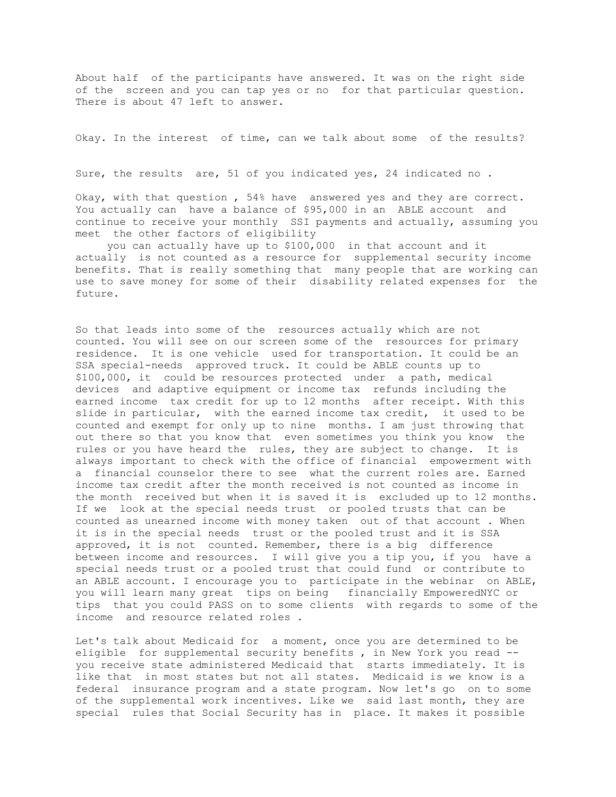About half of the participants have answered. It was on the right side of the screen and you can tap yes or no for that particular question. There is about 47 left to answer.

Okay. In the interest of time, can we talk about some of the results?

Sure, the results are, 51 of you indicated yes, 24 indicated no .

Okay, with that question , 54% have answered yes and they are correct. You actually can have a balance of \$95,000 in an ABLE account and continue to receive your monthly SSI payments and actually, assuming you meet the other factors of eligibility

 you can actually have up to \$100,000 in that account and it actually is not counted as a resource for supplemental security income benefits. That is really something that many people that are working can use to save money for some of their disability related expenses for the future.

So that leads into some of the resources actually which are not counted. You will see on our screen some of the resources for primary residence. It is one vehicle used for transportation. It could be an SSA special-needs approved truck. It could be ABLE counts up to \$100,000, it could be resources protected under a path, medical devices and adaptive equipment or income tax refunds including the earned income tax credit for up to 12 months after receipt. With this slide in particular, with the earned income tax credit, it used to be counted and exempt for only up to nine months. I am just throwing that out there so that you know that even sometimes you think you know the rules or you have heard the rules, they are subject to change. It is always important to check with the office of financial empowerment with a financial counselor there to see what the current roles are. Earned income tax credit after the month received is not counted as income in the month received but when it is saved it is excluded up to 12 months. If we look at the special needs trust or pooled trusts that can be counted as unearned income with money taken out of that account . When it is in the special needs trust or the pooled trust and it is SSA approved, it is not counted. Remember, there is a big difference between income and resources. I will give you a tip you, if you have a special needs trust or a pooled trust that could fund or contribute to an ABLE account. I encourage you to participate in the webinar on ABLE, you will learn many great tips on being financially EmpoweredNYC or tips that you could PASS on to some clients with regards to some of the income and resource related roles .

Let's talk about Medicaid for a moment, once you are determined to be eligible for supplemental security benefits, in New York you read -you receive state administered Medicaid that starts immediately. It is like that in most states but not all states. Medicaid is we know is a federal insurance program and a state program. Now let's go on to some of the supplemental work incentives. Like we said last month, they are special rules that Social Security has in place. It makes it possible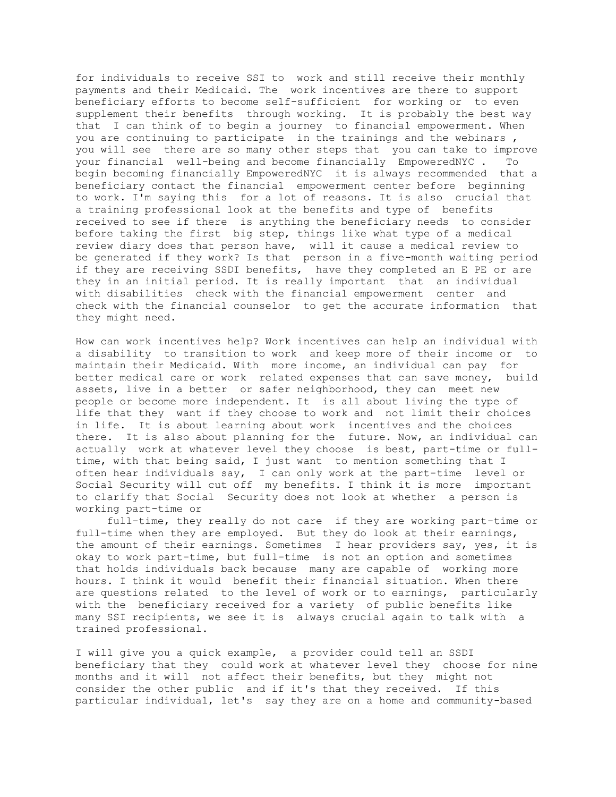for individuals to receive SSI to work and still receive their monthly payments and their Medicaid. The work incentives are there to support beneficiary efforts to become self-sufficient for working or to even supplement their benefits through working. It is probably the best way that I can think of to begin a journey to financial empowerment. When you are continuing to participate in the trainings and the webinars , you will see there are so many other steps that you can take to improve your financial well-being and become financially EmpoweredNYC . To begin becoming financially EmpoweredNYC it is always recommended that a beneficiary contact the financial empowerment center before beginning to work. I'm saying this for a lot of reasons. It is also crucial that a training professional look at the benefits and type of benefits received to see if there is anything the beneficiary needs to consider before taking the first big step, things like what type of a medical review diary does that person have, will it cause a medical review to be generated if they work? Is that person in a five-month waiting period if they are receiving SSDI benefits, have they completed an E PE or are they in an initial period. It is really important that an individual with disabilities check with the financial empowerment center and check with the financial counselor to get the accurate information that they might need.

How can work incentives help? Work incentives can help an individual with a disability to transition to work and keep more of their income or to maintain their Medicaid. With more income, an individual can pay for better medical care or work related expenses that can save money, build assets, live in a better or safer neighborhood, they can meet new people or become more independent. It is all about living the type of life that they want if they choose to work and not limit their choices in life. It is about learning about work incentives and the choices there. It is also about planning for the future. Now, an individual can actually work at whatever level they choose is best, part-time or fulltime, with that being said, I just want to mention something that I often hear individuals say, I can only work at the part-time level or Social Security will cut off my benefits. I think it is more important to clarify that Social Security does not look at whether a person is working part-time or

 full-time, they really do not care if they are working part-time or full-time when they are employed. But they do look at their earnings, the amount of their earnings. Sometimes I hear providers say, yes, it is okay to work part-time, but full-time is not an option and sometimes that holds individuals back because many are capable of working more hours. I think it would benefit their financial situation. When there are questions related to the level of work or to earnings, particularly with the beneficiary received for a variety of public benefits like many SSI recipients, we see it is always crucial again to talk with a trained professional.

I will give you a quick example, a provider could tell an SSDI beneficiary that they could work at whatever level they choose for nine months and it will not affect their benefits, but they might not consider the other public and if it's that they received. If this particular individual, let's say they are on a home and community-based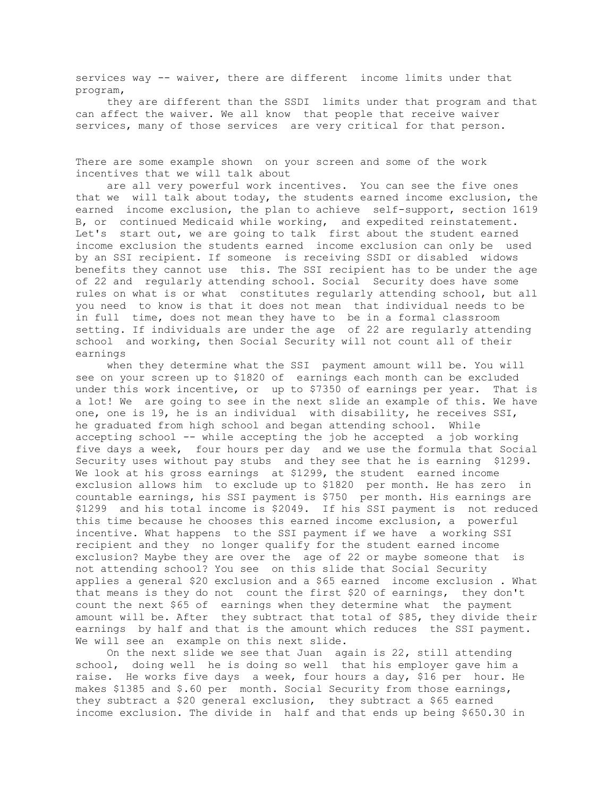services way -- waiver, there are different income limits under that program,

 they are different than the SSDI limits under that program and that can affect the waiver. We all know that people that receive waiver services, many of those services are very critical for that person.

There are some example shown on your screen and some of the work incentives that we will talk about

 are all very powerful work incentives. You can see the five ones that we will talk about today, the students earned income exclusion, the earned income exclusion, the plan to achieve self-support, section 1619 B, or continued Medicaid while working, and expedited reinstatement. Let's start out, we are going to talk first about the student earned income exclusion the students earned income exclusion can only be used by an SSI recipient. If someone is receiving SSDI or disabled widows benefits they cannot use this. The SSI recipient has to be under the age of 22 and regularly attending school. Social Security does have some rules on what is or what constitutes regularly attending school, but all you need to know is that it does not mean that individual needs to be in full time, does not mean they have to be in a formal classroom setting. If individuals are under the age of 22 are regularly attending school and working, then Social Security will not count all of their earnings

 when they determine what the SSI payment amount will be. You will see on your screen up to \$1820 of earnings each month can be excluded under this work incentive, or up to \$7350 of earnings per year. That is a lot! We are going to see in the next slide an example of this. We have one, one is 19, he is an individual with disability, he receives SSI, he graduated from high school and began attending school. While accepting school -- while accepting the job he accepted a job working five days a week, four hours per day and we use the formula that Social Security uses without pay stubs and they see that he is earning \$1299. We look at his gross earnings at \$1299, the student earned income exclusion allows him to exclude up to \$1820 per month. He has zero in countable earnings, his SSI payment is \$750 per month. His earnings are \$1299 and his total income is \$2049. If his SSI payment is not reduced this time because he chooses this earned income exclusion, a powerful incentive. What happens to the SSI payment if we have a working SSI recipient and they no longer qualify for the student earned income exclusion? Maybe they are over the age of 22 or maybe someone that is not attending school? You see on this slide that Social Security applies a general \$20 exclusion and a \$65 earned income exclusion . What that means is they do not count the first \$20 of earnings, they don't count the next \$65 of earnings when they determine what the payment amount will be. After they subtract that total of \$85, they divide their earnings by half and that is the amount which reduces the SSI payment. We will see an example on this next slide.

 On the next slide we see that Juan again is 22, still attending school, doing well he is doing so well that his employer gave him a raise. He works five days a week, four hours a day, \$16 per hour. He makes \$1385 and \$.60 per month. Social Security from those earnings, they subtract a \$20 general exclusion, they subtract a \$65 earned income exclusion. The divide in half and that ends up being \$650.30 in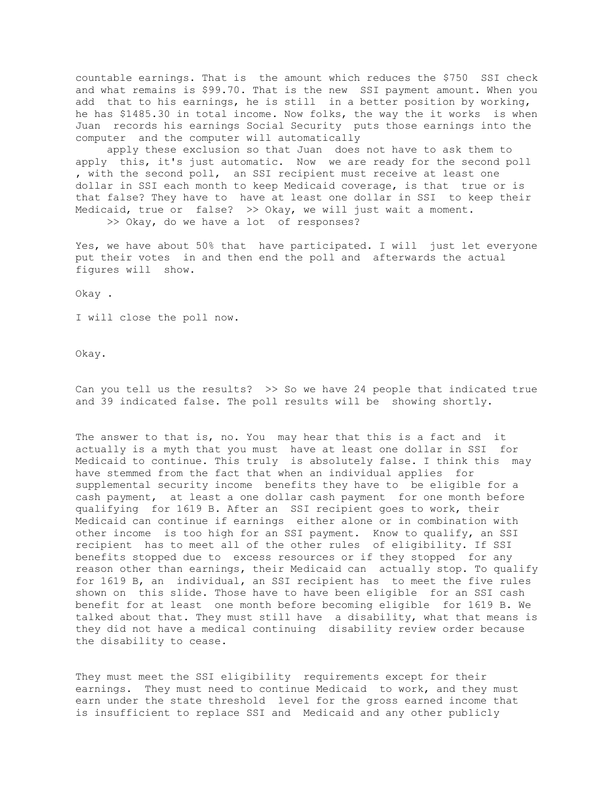countable earnings. That is the amount which reduces the \$750 SSI check and what remains is \$99.70. That is the new SSI payment amount. When you add that to his earnings, he is still in a better position by working, he has \$1485.30 in total income. Now folks, the way the it works is when Juan records his earnings Social Security puts those earnings into the computer and the computer will automatically

 apply these exclusion so that Juan does not have to ask them to apply this, it's just automatic. Now we are ready for the second poll , with the second poll, an SSI recipient must receive at least one dollar in SSI each month to keep Medicaid coverage, is that true or is that false? They have to have at least one dollar in SSI to keep their Medicaid, true or false? >> Okay, we will just wait a moment. >> Okay, do we have a lot of responses?

Yes, we have about 50% that have participated. I will just let everyone put their votes in and then end the poll and afterwards the actual figures will show.

Okay .

I will close the poll now.

Okay.

Can you tell us the results? >> So we have 24 people that indicated true and 39 indicated false. The poll results will be showing shortly.

The answer to that is, no. You may hear that this is a fact and it actually is a myth that you must have at least one dollar in SSI for Medicaid to continue. This truly is absolutely false. I think this may have stemmed from the fact that when an individual applies for supplemental security income benefits they have to be eligible for a cash payment, at least a one dollar cash payment for one month before qualifying for 1619 B. After an SSI recipient goes to work, their Medicaid can continue if earnings either alone or in combination with other income is too high for an SSI payment. Know to qualify, an SSI recipient has to meet all of the other rules of eligibility. If SSI benefits stopped due to excess resources or if they stopped for any reason other than earnings, their Medicaid can actually stop. To qualify for 1619 B, an individual, an SSI recipient has to meet the five rules shown on this slide. Those have to have been eligible for an SSI cash benefit for at least one month before becoming eligible for 1619 B. We talked about that. They must still have a disability, what that means is they did not have a medical continuing disability review order because the disability to cease.

They must meet the SSI eligibility requirements except for their earnings. They must need to continue Medicaid to work, and they must earn under the state threshold level for the gross earned income that is insufficient to replace SSI and Medicaid and any other publicly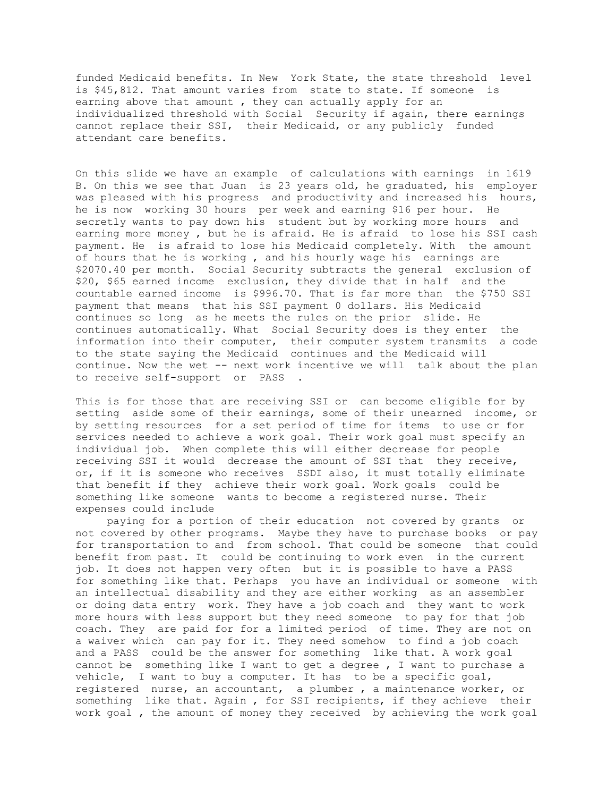funded Medicaid benefits. In New York State, the state threshold level is \$45,812. That amount varies from state to state. If someone is earning above that amount , they can actually apply for an individualized threshold with Social Security if again, there earnings cannot replace their SSI, their Medicaid, or any publicly funded attendant care benefits.

On this slide we have an example of calculations with earnings in 1619 B. On this we see that Juan is 23 years old, he graduated, his employer was pleased with his progress and productivity and increased his hours, he is now working 30 hours per week and earning \$16 per hour. He secretly wants to pay down his student but by working more hours and earning more money , but he is afraid. He is afraid to lose his SSI cash payment. He is afraid to lose his Medicaid completely. With the amount of hours that he is working , and his hourly wage his earnings are \$2070.40 per month. Social Security subtracts the general exclusion of \$20, \$65 earned income exclusion, they divide that in half and the countable earned income is \$996.70. That is far more than the \$750 SSI payment that means that his SSI payment 0 dollars. His Medicaid continues so long as he meets the rules on the prior slide. He continues automatically. What Social Security does is they enter the information into their computer, their computer system transmits a code to the state saying the Medicaid continues and the Medicaid will continue. Now the wet -- next work incentive we will talk about the plan to receive self-support or PASS .

This is for those that are receiving SSI or can become eligible for by setting aside some of their earnings, some of their unearned income, or by setting resources for a set period of time for items to use or for services needed to achieve a work goal. Their work goal must specify an individual job. When complete this will either decrease for people receiving SSI it would decrease the amount of SSI that they receive, or, if it is someone who receives SSDI also, it must totally eliminate that benefit if they achieve their work goal. Work goals could be something like someone wants to become a registered nurse. Their expenses could include

 paying for a portion of their education not covered by grants or not covered by other programs. Maybe they have to purchase books or pay for transportation to and from school. That could be someone that could benefit from past. It could be continuing to work even in the current job. It does not happen very often but it is possible to have a PASS for something like that. Perhaps you have an individual or someone with an intellectual disability and they are either working as an assembler or doing data entry work. They have a job coach and they want to work more hours with less support but they need someone to pay for that job coach. They are paid for for a limited period of time. They are not on a waiver which can pay for it. They need somehow to find a job coach and a PASS could be the answer for something like that. A work goal cannot be something like I want to get a degree , I want to purchase a vehicle, I want to buy a computer. It has to be a specific goal, registered nurse, an accountant, a plumber , a maintenance worker, or something like that. Again , for SSI recipients, if they achieve their work goal , the amount of money they received by achieving the work goal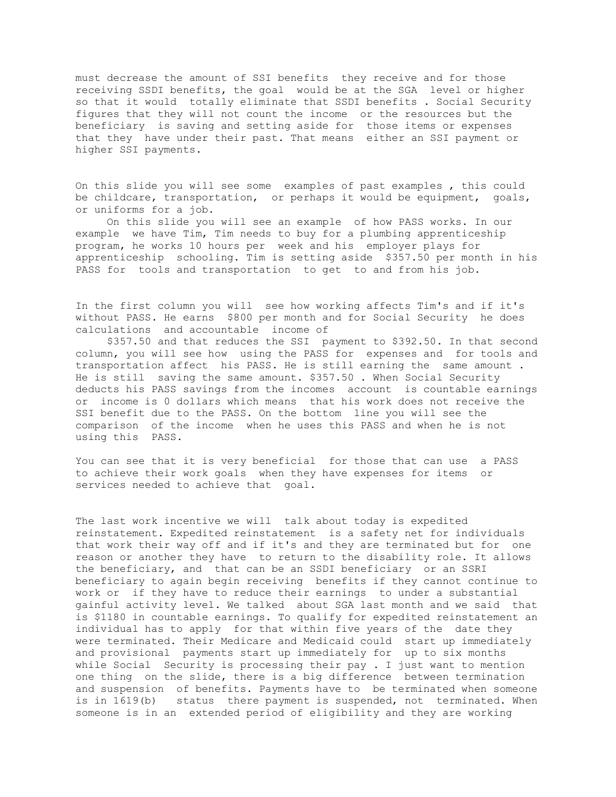must decrease the amount of SSI benefits they receive and for those receiving SSDI benefits, the goal would be at the SGA level or higher so that it would totally eliminate that SSDI benefits . Social Security figures that they will not count the income or the resources but the beneficiary is saving and setting aside for those items or expenses that they have under their past. That means either an SSI payment or higher SSI payments.

On this slide you will see some examples of past examples , this could be childcare, transportation, or perhaps it would be equipment, goals, or uniforms for a job.

 On this slide you will see an example of how PASS works. In our example we have Tim, Tim needs to buy for a plumbing apprenticeship program, he works 10 hours per week and his employer plays for apprenticeship schooling. Tim is setting aside \$357.50 per month in his PASS for tools and transportation to get to and from his job.

In the first column you will see how working affects Tim's and if it's without PASS. He earns \$800 per month and for Social Security he does calculations and accountable income of

 \$357.50 and that reduces the SSI payment to \$392.50. In that second column, you will see how using the PASS for expenses and for tools and transportation affect his PASS. He is still earning the same amount . He is still saving the same amount. \$357.50 . When Social Security deducts his PASS savings from the incomes account is countable earnings or income is 0 dollars which means that his work does not receive the SSI benefit due to the PASS. On the bottom line you will see the comparison of the income when he uses this PASS and when he is not using this PASS.

You can see that it is very beneficial for those that can use a PASS to achieve their work goals when they have expenses for items or services needed to achieve that goal.

The last work incentive we will talk about today is expedited reinstatement. Expedited reinstatement is a safety net for individuals that work their way off and if it's and they are terminated but for one reason or another they have to return to the disability role. It allows the beneficiary, and that can be an SSDI beneficiary or an SSRI beneficiary to again begin receiving benefits if they cannot continue to work or if they have to reduce their earnings to under a substantial gainful activity level. We talked about SGA last month and we said that is \$1180 in countable earnings. To qualify for expedited reinstatement an individual has to apply for that within five years of the date they were terminated. Their Medicare and Medicaid could start up immediately and provisional payments start up immediately for up to six months while Social Security is processing their pay . I just want to mention one thing on the slide, there is a big difference between termination and suspension of benefits. Payments have to be terminated when someone is in 1619(b) status there payment is suspended, not terminated. When someone is in an extended period of eligibility and they are working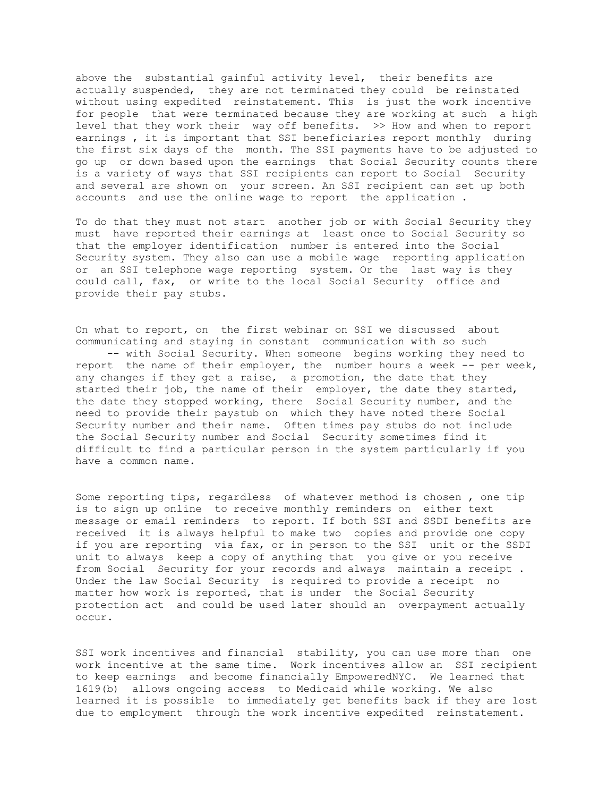above the substantial gainful activity level, their benefits are actually suspended, they are not terminated they could be reinstated without using expedited reinstatement. This is just the work incentive for people that were terminated because they are working at such a high level that they work their way off benefits. >> How and when to report earnings , it is important that SSI beneficiaries report monthly during the first six days of the month. The SSI payments have to be adjusted to go up or down based upon the earnings that Social Security counts there is a variety of ways that SSI recipients can report to Social Security and several are shown on your screen. An SSI recipient can set up both accounts and use the online wage to report the application .

To do that they must not start another job or with Social Security they must have reported their earnings at least once to Social Security so that the employer identification number is entered into the Social Security system. They also can use a mobile wage reporting application or an SSI telephone wage reporting system. Or the last way is they could call, fax, or write to the local Social Security office and provide their pay stubs.

On what to report, on the first webinar on SSI we discussed about communicating and staying in constant communication with so such -- with Social Security. When someone begins working they need to report the name of their employer, the number hours a week -- per week, any changes if they get a raise, a promotion, the date that they started their job, the name of their employer, the date they started, the date they stopped working, there Social Security number, and the need to provide their paystub on which they have noted there Social Security number and their name. Often times pay stubs do not include the Social Security number and Social Security sometimes find it difficult to find a particular person in the system particularly if you have a common name.

Some reporting tips, regardless of whatever method is chosen , one tip is to sign up online to receive monthly reminders on either text message or email reminders to report. If both SSI and SSDI benefits are received it is always helpful to make two copies and provide one copy if you are reporting via fax, or in person to the SSI unit or the SSDI unit to always keep a copy of anything that you give or you receive from Social Security for your records and always maintain a receipt . Under the law Social Security is required to provide a receipt no matter how work is reported, that is under the Social Security protection act and could be used later should an overpayment actually occur.

SSI work incentives and financial stability, you can use more than one work incentive at the same time. Work incentives allow an SSI recipient to keep earnings and become financially EmpoweredNYC. We learned that 1619(b) allows ongoing access to Medicaid while working. We also learned it is possible to immediately get benefits back if they are lost due to employment through the work incentive expedited reinstatement.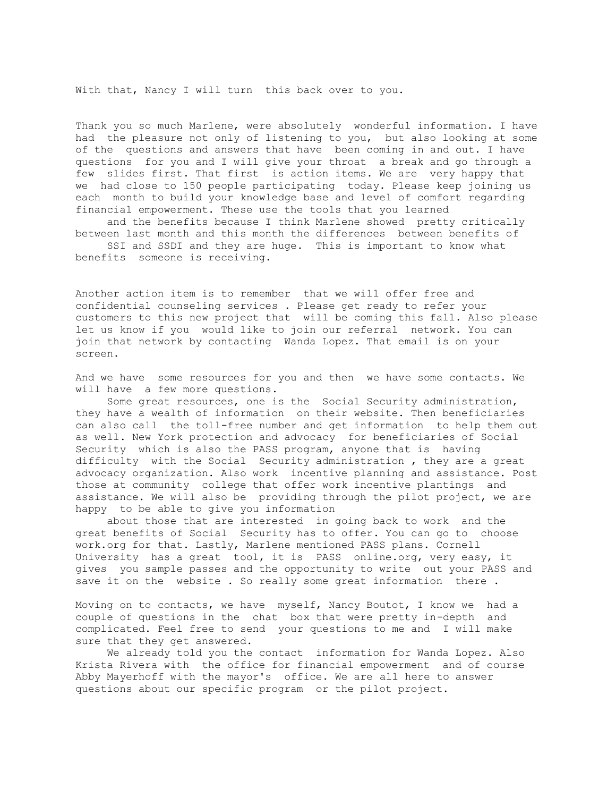With that, Nancy I will turn this back over to you.

Thank you so much Marlene, were absolutely wonderful information. I have had the pleasure not only of listening to you, but also looking at some of the questions and answers that have been coming in and out. I have questions for you and I will give your throat a break and go through a few slides first. That first is action items. We are very happy that we had close to 150 people participating today. Please keep joining us each month to build your knowledge base and level of comfort regarding financial empowerment. These use the tools that you learned

 and the benefits because I think Marlene showed pretty critically between last month and this month the differences between benefits of SSI and SSDI and they are huge. This is important to know what benefits someone is receiving.

Another action item is to remember that we will offer free and confidential counseling services . Please get ready to refer your customers to this new project that will be coming this fall. Also please let us know if you would like to join our referral network. You can join that network by contacting Wanda Lopez. That email is on your screen.

And we have some resources for you and then we have some contacts. We will have a few more questions.

 Some great resources, one is the Social Security administration, they have a wealth of information on their website. Then beneficiaries can also call the toll-free number and get information to help them out as well. New York protection and advocacy for beneficiaries of Social Security which is also the PASS program, anyone that is having difficulty with the Social Security administration , they are a great advocacy organization. Also work incentive planning and assistance. Post those at community college that offer work incentive plantings and assistance. We will also be providing through the pilot project, we are happy to be able to give you information

 about those that are interested in going back to work and the great benefits of Social Security has to offer. You can go to choose work.org for that. Lastly, Marlene mentioned PASS plans. Cornell University has a great tool, it is PASS online.org, very easy, it gives you sample passes and the opportunity to write out your PASS and save it on the website . So really some great information there .

Moving on to contacts, we have myself, Nancy Boutot, I know we had a couple of questions in the chat box that were pretty in-depth and complicated. Feel free to send your questions to me and I will make sure that they get answered.

 We already told you the contact information for Wanda Lopez. Also Krista Rivera with the office for financial empowerment and of course Abby Mayerhoff with the mayor's office. We are all here to answer questions about our specific program or the pilot project.